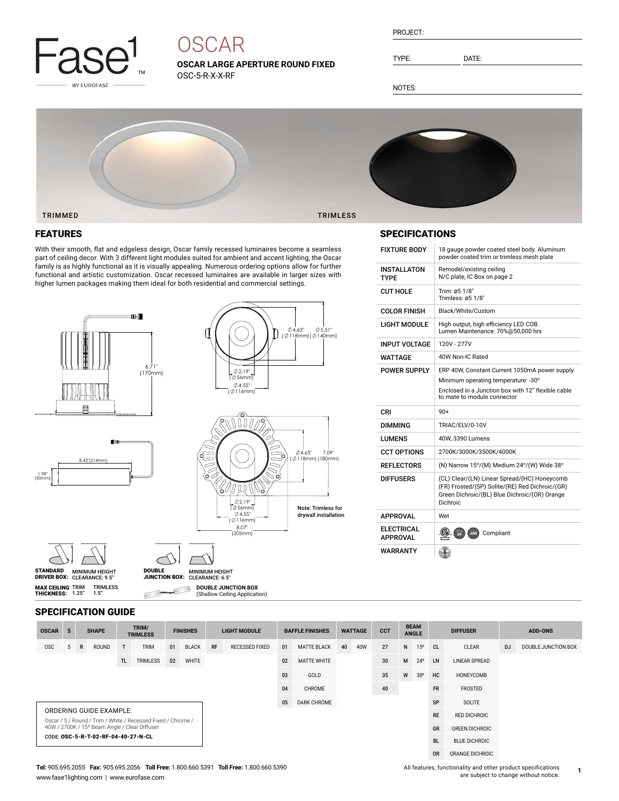

# **OSCAR**

**OSCAR LARGE APERTURE ROUND FIXED** OSC-5-R-X-X-RF

| PROJECT: |  |
|----------|--|
|          |  |

TYPE: DATE:

NOTES:

INSTALLATON TYPE

 $CUT HOLE$  Trim:  $\varnothing$ 5 1/8"

SPECIFICATIONS

COLOR FINISH Black/White/Custom



 $0.551'$ 

### FEATURES

With their smooth, flat and edgeless design, Oscar family recessed luminaires become a seamless part of ceiling decor. With 3 different light modules suited for ambient and accent lighting, the Oscar family is as highly functional as it is visually appealing. Numerous ordering options allow for further functional and artistic customization. Oscar recessed luminaires are available in larger sizes with higher lumen packages making them ideal for both residential and commercial settings.



MINIMUM HEIGHT CLEARANCE: 6.5" DOUBLE JUNCTION BOX:

**DOUBLE JUNCTION BOX** (Shallow Ceiling Application)

|                   | 8.42"(214mm) |  |
|-------------------|--------------|--|
| $1.98"$<br>(50mm) |              |  |
|                   |              |  |
|                   |              |  |

| c<br>о                                                                | $04.63$ "<br>7.09"<br>(Ø118mm) (180mm)            |
|-----------------------------------------------------------------------|---------------------------------------------------|
| 02.19"<br>$\emptyset$ 56mm)<br>Ø4.55"<br>(Ø116mm)<br>8.07"<br>(205mm) | <b>Note: Trimless for</b><br>drywall installation |

| I IGHT MODULF                        | High output, high efficiency LED COB.<br>Lumen Maintenance: 70%@50,000 hrs                                                                                                |
|--------------------------------------|---------------------------------------------------------------------------------------------------------------------------------------------------------------------------|
| <b>INPUT VOLTAGE</b>                 | 120V - 277V                                                                                                                                                               |
| <b>WATTAGE</b>                       | 40W Non-IC Rated                                                                                                                                                          |
| <b>POWER SUPPLY</b>                  | ERP 40W, Constant Current 1050mA power supply<br>Minimum operating temperature: -30°<br>Enclosed in a Junction box with 12" flexible cable<br>to mate to module connector |
| CRI                                  | $90+$                                                                                                                                                                     |
| <b>DIMMING</b>                       | TRIAC/ELV/0-10V                                                                                                                                                           |
| <b>LUMENS</b>                        | 40W, 3390 Lumens                                                                                                                                                          |
| <b>CCT OPTIONS</b>                   | 2700K/3000K/3500K/4000K                                                                                                                                                   |
| <b>REFLECTORS</b>                    | (N) Narrow 15°/(M) Medium 24°/(W) Wide 38°                                                                                                                                |
| <b>DIFFUSERS</b>                     | (CL) Clear/(LN) Linear Spread/(HC) Honeycomb<br>(FR) Frosted/(SP) Solite/(RE) Red Dichroic/(GR)<br>Green Dichroic/(BL) Blue Dichroic/(OR) Orange<br>Dichroic              |
| <b>APPROVAL</b>                      | Wet                                                                                                                                                                       |
| <b>ELECTRICAL</b><br><b>APPROVAL</b> | $\overline{24}$<br>Compliant<br>JA8                                                                                                                                       |
| <b>WARRANTY</b>                      |                                                                                                                                                                           |

FIXTURE BODY 18 gauge powder coated steel body. Aluminum powder coated trim or trimless mesh plate

Remodel/existing ceiling N/C plate, IC Box on page 2

Trimless: Ø5 1/8"

#### SPECIFICATION GUIDE

TRIMLESS 1.5"

STANDARD MINIMUM HEIGHT<br>DRIVER BOX: CLEARANCE: 9.5"

**MAX CEILING** TRIM<br>**THICKNESS:** 1.25"

| <b>OSCAR</b>                        | 5                                                                                                             |   | <b>SHAPE</b> |    | TRIM/<br><b>TRIMLESS</b> |                    | <b>FINISHES</b> |                    | <b>LIGHT MODULE</b>   |        | <b>BAFFLE FINISHES</b> |    | <b>WATTAGE</b>       | <b>CCT</b>           |                 | <b>BEAM</b><br><b>ANGLE</b> | <b>DIFFUSER</b>       |       | <b>ADD-ONS</b> |                     |
|-------------------------------------|---------------------------------------------------------------------------------------------------------------|---|--------------|----|--------------------------|--------------------|-----------------|--------------------|-----------------------|--------|------------------------|----|----------------------|----------------------|-----------------|-----------------------------|-----------------------|-------|----------------|---------------------|
| <b>OSC</b>                          |                                                                                                               | R | <b>ROUND</b> | T. | <b>TRIM</b>              | 01                 | <b>BLACK</b>    | RF                 | <b>RECESSED FIXED</b> | 01     | <b>MATTE BLACK</b>     | 40 | 40W                  | 27                   | N               | 15 <sup>o</sup>             | <sub>CL</sub>         | CLEAR | <b>DJ</b>      | DOUBLE JUNCTION BOX |
|                                     | TL.<br>TRIMLESS<br>WHITE<br>02                                                                                |   |              |    | 02                       | <b>MATTE WHITE</b> |                 |                    | 30                    | M      | $24^{\circ}$           | LN | <b>LINEAR SPREAD</b> |                      |                 |                             |                       |       |                |                     |
|                                     |                                                                                                               |   |              |    |                          |                    |                 |                    | 03                    | GOLD   |                        |    | 35                   | W                    | 38°             | <b>HC</b>                   | HONEYCOMB             |       |                |                     |
|                                     |                                                                                                               |   |              |    |                          |                    |                 |                    | 04                    | CHROME |                        |    | 40                   |                      |                 | <b>FR</b>                   | FROSTED               |       |                |                     |
|                                     |                                                                                                               |   |              |    |                          |                    | 05              | <b>DARK CHROME</b> |                       |        |                        |    |                      | SP                   | SOLITE          |                             |                       |       |                |                     |
|                                     | <b>ORDERING GUIDE EXAMPLE:</b>                                                                                |   |              |    |                          |                    |                 |                    |                       |        |                        |    |                      |                      | <b>RE</b>       | <b>RED DICHROIC</b>         |                       |       |                |                     |
|                                     | Oscar / 5 / Round / Trim / White / Recessed Fixed / Chrome /<br>40W / 2700K / 15° Beam Angle / Clear Diffuser |   |              |    |                          |                    |                 |                    |                       |        |                        |    |                      |                      |                 | GR                          | <b>GREEN DICHROIC</b> |       |                |                     |
| CODE: OSC-5-R-T-02-RF-04-40-27-N-CL |                                                                                                               |   |              |    |                          |                    |                 |                    |                       |        |                        |    | <b>BL</b>            | <b>BLUE DICHROIC</b> |                 |                             |                       |       |                |                     |
|                                     |                                                                                                               |   |              |    |                          |                    |                 |                    |                       |        |                        |    |                      | <b>OR</b>            | ORANGE DICHROIC |                             |                       |       |                |                     |

#### **Tel:** 905.695.2055 **Fax:** 905.695.2056 **Toll Free:** 1.800.660.5391 **Toll Free:** 1.800.660.5390 www.fase1lighting.com | www.eurofase.com

All features, functionality and other product specifications are subject to change without notice.

**1**